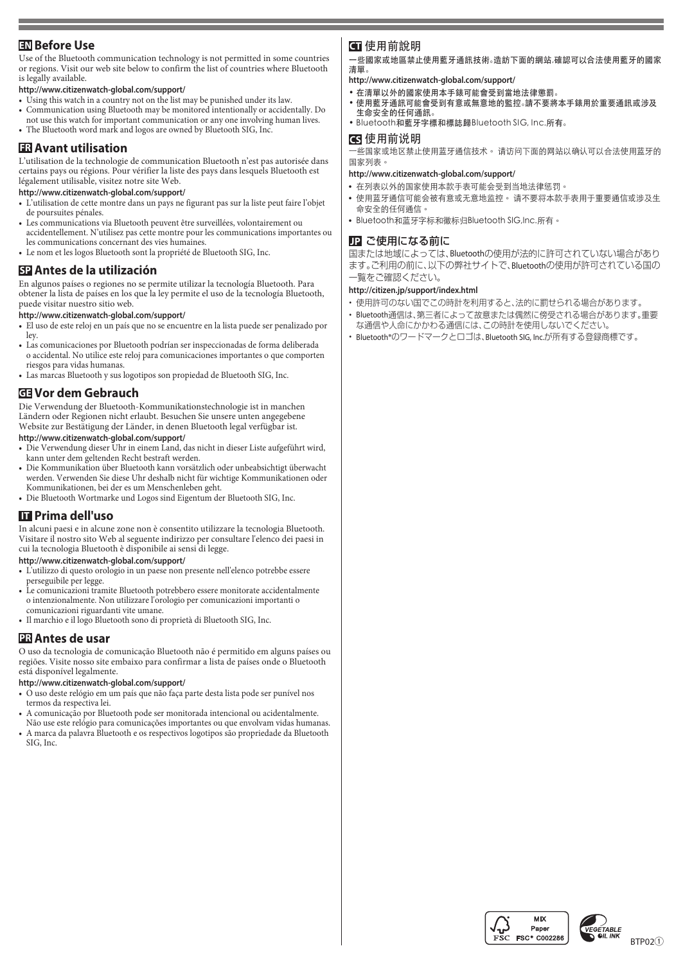# **EN** Before Use

Use of the Bluetooth communication technology is not permitted in some countries Blueton when when we confirm the list of countries where Bluetooth or regions. Visit our web site below to confirm the list of countries where Bluetooth is legally available.

### http://www.citizenwatch-global.com/support/

- Using this watch in a country not on the list may be punished under its law.
- Communication using Bluetooth may be monitored intentionally or accidentally. Do not use this watch for important communication or any one involving human lives.
- The Bluetooth word mark and logos are owned by Bluetooth SIG, Inc.

# **ER** Avant utilisation

L'utilisation de la technologie de communication Bluetooth n'est pas autorisée dans certains pays ou régions. Pour vérifier la liste des pays dans lesquels Bluetooth est légalement utilisable, visitez notre site Web.

#### http://www.citizenwatch-global.com/support/

- L'utilisation de cette montre dans un pays ne figurant pas sur la liste peut faire l'obiet de poursuites pénales.
- Les communications via Bluetooth peuvent être surveillées, volontairement ou accidentellement. N'utilisez pas cette montre pour les communications importantes ou les communications concernant des vies humaines.
- Le nom et les logos Bluetooth sont la propriété de Bluetooth SIG, Inc.

# **EP** Antes de la utilización

En algunos países o regiones no se permite utilizar la tecnología Bluetooth. Para<br>obtener la lista de países en los que la ley permite el uso de la tecnología Bluetooth, puede visitar nuestro sitio web.

#### http://www.citizenwatch-global.com/support/

- El uso de este reloj en un país que no se encuentre en la lista puede ser penalizado por ley.
- Las comunicaciones por Bluetooth podrían ser inspeccionadas de forma deliberada o accidental. No utilice este reloj para comunicaciones importantes o que comporten riesgos para vidas humanas.
- Las marcas Bluetooth y sus logotipos son propiedad de Bluetooth SIG, Inc.

# **Gebrauch dem Vor GE**

Die Verwendung der Bluetooth-Kommunikationstechnologie ist in manchen Ländern oder Regionen nicht erlaubt. Besuchen Sie unsere unten angegebene Website zur Bestätigung der Länder, in denen Bluetooth legal verfügbar ist. http://www.citizenwatch-global.com/support/

- Die Verwendung dieser Uhr in einem Land, das nicht in dieser Liste aufgeführt wird, kann unter dem geltenden Recht bestraft werden.
- Die Kommunikation über Bluetooth kann vorsätzlich oder unbeabsichtigt überwacht werden. Verwenden Sie diese Uhr deshalb nicht für wichtige Kommunikationen oder Kommunikationen, bei der es um Menschenleben geht.
- Die Bluetooth Wortmarke und Logos sind Eigentum der Bluetooth SIG, Inc.

## **u** Prima dell'uso

In alcuni paesi e in alcune zone non è consentito utilizzare la tecnologia Bluetooth. Visitare il nostro sito Web al seguente indirizzo per consultare l'elenco dei paesi in cui la tecnologia Bluetooth è disponibile ai sensi di legge.

http://www.citizenwatch-global.com/support/

- e L'utilizzo di questo orologio in un paese non presente nell'elenco potrebbe essere perseguibile per legge.
- Le comunicazioni tramite Bluetooth potrebbero essere monitorate accidentalmente o intenzionalmente. Non utilizzare l'orologio per comunicazioni importanti o comunicazioni riguardanti vite umane.
- Il marchio e il logo Bluetooth sono di proprietà di Bluetooth SIG, Inc.

### **PR** Antes de usar

O uso da tecnologia de comunicação Bluetooth não é permitido em alguns países ou regiões. Visite nosso site embaixo para confirmar a lista de países onde o Bluetooth está disponível legalmente.

#### http://www.citizenwatch-global.com/support/

- O uso deste relógio em um país que não faça parte desta lista pode ser punível nos termos da respectiva lei.
- A comunicação por Bluetooth pode ser monitorada intencional ou acidentalmente.
- Não use este relógio para comunicações importantes ou que envolvam vidas humanas. A marca da palavra Bluetooth e os respectivos logotipos são propriedade da Bluetooth SIG, Inc.

## 使用前說明 **CT**

一些國家或地區禁止使用藍牙通訊技術。造訪下面的網站,確認可以合法使用藍牙的國家 。清單

- http://www.citizenwatch-global.com/support/
- 。在清單以外的國家使用本手錶可能會受到當地法律懲罰•
- ,重形不够的,其实的。<br>● 使用藍牙通訊可能會受到有意或無意地的監控。請不要將本手錶用於重要通訊或涉及 。生命安全的任何通訊
- Bluetooth和藍牙字標和標誌歸Bluetooth SIG, Inc.所有。

### 使用前说明 **CS**

一些国家或地区禁止使用蓝牙通信技术。 请访问下面的网站以确认可以合法使用蓝牙的 。国家列表

#### http://www.citizenwatch-global.com/support/

- 。在列表以外的国家使用本款手表可能会受到当地法律惩罚**•**
- 使用蓝牙通信可能会被有意或无意地监控。 请不要将本款手表用于重要通信或涉及生 。命安全的任何通信
- Bluetooth和蓝牙字标和徽标归Bluetooth SIG,Inc.所有。

### **JP** ご使用になる前に

国または地域によっては、Bluetoothの使用が法的に許可されていない場合があり ます。ご利用の前に、以下の弊社サイトで、Bluetoothの使用が許可されている国の 。一覧をご確認ください

#### http://citizen.jp/support/index.html

- 在用許可のない国でこの時計を利用すると、法的に罰せられる場合があります。
- Bluetooth通信は、第三者によって故意または偶然に傍受される場合があります。重要 な通信や人命にかかわる通信には、この時計を使用しないでください。
- Bluetooth®のワードマークとロゴは、Bluetooth SIG, Inc.が所有する登録商標です。